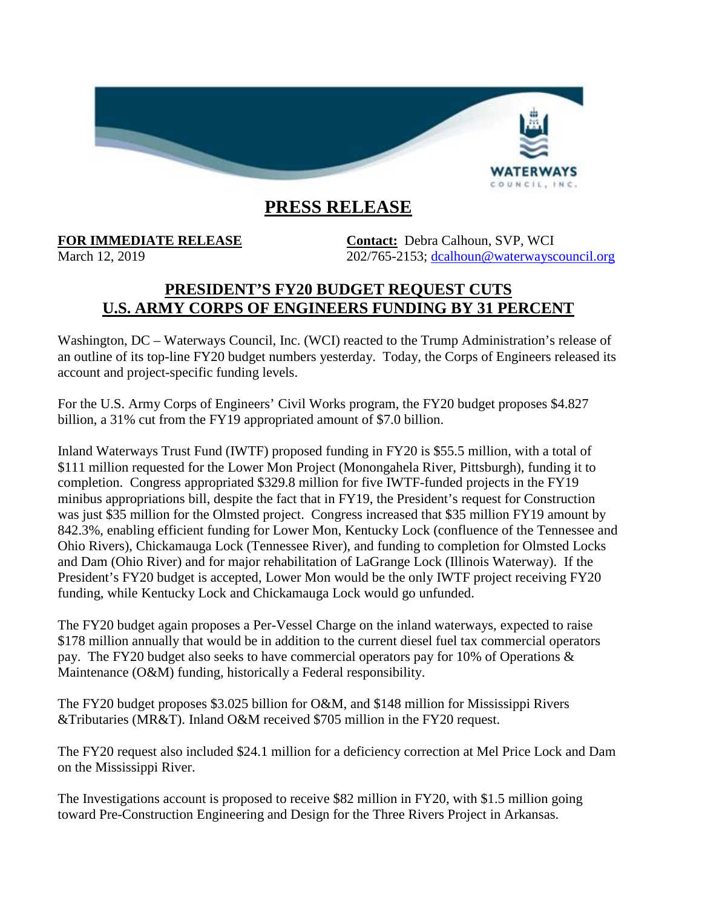

## **PRESS RELEASE**

**FOR IMMEDIATE RELEASE Contact:** Debra Calhoun, SVP, WCI March 12, 2019 202/765-2153; [dcalhoun@waterwayscouncil.org](mailto:dcalhoun@waterwayscouncil.org)

## **PRESIDENT'S FY20 BUDGET REQUEST CUTS U.S. ARMY CORPS OF ENGINEERS FUNDING BY 31 PERCENT**

Washington, DC – Waterways Council, Inc. (WCI) reacted to the Trump Administration's release of an outline of its top-line FY20 budget numbers yesterday. Today, the Corps of Engineers released its account and project-specific funding levels.

For the U.S. Army Corps of Engineers' Civil Works program, the FY20 budget proposes \$4.827 billion, a 31% cut from the FY19 appropriated amount of \$7.0 billion.

Inland Waterways Trust Fund (IWTF) proposed funding in FY20 is \$55.5 million, with a total of \$111 million requested for the Lower Mon Project (Monongahela River, Pittsburgh), funding it to completion. Congress appropriated \$329.8 million for five IWTF-funded projects in the FY19 minibus appropriations bill, despite the fact that in FY19, the President's request for Construction was just \$35 million for the Olmsted project. Congress increased that \$35 million FY19 amount by 842.3%, enabling efficient funding for Lower Mon, Kentucky Lock (confluence of the Tennessee and Ohio Rivers), Chickamauga Lock (Tennessee River), and funding to completion for Olmsted Locks and Dam (Ohio River) and for major rehabilitation of LaGrange Lock (Illinois Waterway). If the President's FY20 budget is accepted, Lower Mon would be the only IWTF project receiving FY20 funding, while Kentucky Lock and Chickamauga Lock would go unfunded.

The FY20 budget again proposes a Per-Vessel Charge on the inland waterways, expected to raise \$178 million annually that would be in addition to the current diesel fuel tax commercial operators pay. The FY20 budget also seeks to have commercial operators pay for 10% of Operations & Maintenance (O&M) funding, historically a Federal responsibility.

The FY20 budget proposes \$3.025 billion for O&M, and \$148 million for Mississippi Rivers &Tributaries (MR&T). Inland O&M received \$705 million in the FY20 request.

The FY20 request also included \$24.1 million for a deficiency correction at Mel Price Lock and Dam on the Mississippi River.

The Investigations account is proposed to receive \$82 million in FY20, with \$1.5 million going toward Pre-Construction Engineering and Design for the Three Rivers Project in Arkansas.